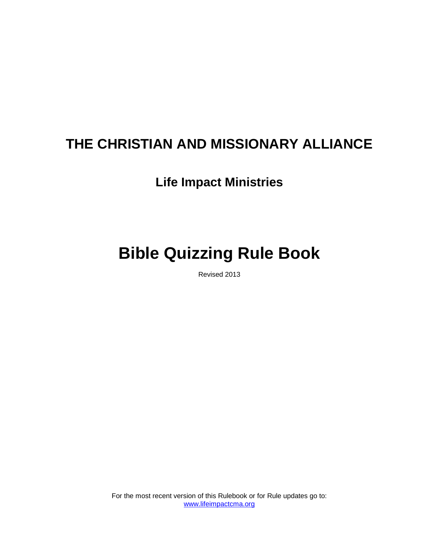# **THE CHRISTIAN AND MISSIONARY ALLIANCE**

# **Life Impact Ministries**

# **Bible Quizzing Rule Book**

Revised 2013

For the most recent version of this Rulebook or for Rule updates go to: [www.lifeimpactcma.org](http://www.lifeimpactcma.org/)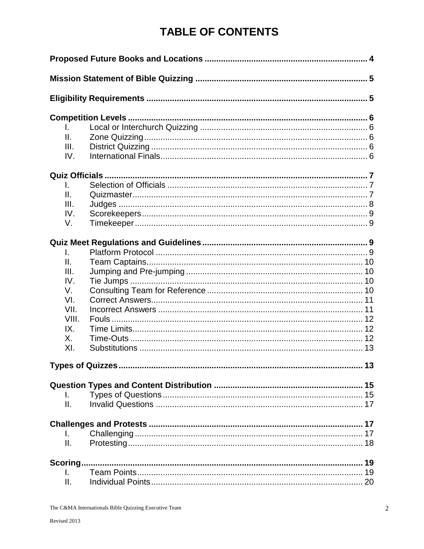# **TABLE OF CONTENTS**

| L.       |  |  |  |  |
|----------|--|--|--|--|
| Ⅱ.       |  |  |  |  |
| III.     |  |  |  |  |
| IV.      |  |  |  |  |
|          |  |  |  |  |
| L.       |  |  |  |  |
| Ш.       |  |  |  |  |
| III.     |  |  |  |  |
| IV.      |  |  |  |  |
| V.       |  |  |  |  |
|          |  |  |  |  |
| I.       |  |  |  |  |
| Ш.       |  |  |  |  |
| III.     |  |  |  |  |
| IV.      |  |  |  |  |
| V.       |  |  |  |  |
| VI.      |  |  |  |  |
| VII.     |  |  |  |  |
| VIII.    |  |  |  |  |
| IX.      |  |  |  |  |
| Х.       |  |  |  |  |
| XI.      |  |  |  |  |
|          |  |  |  |  |
|          |  |  |  |  |
| L.       |  |  |  |  |
| Ш.       |  |  |  |  |
|          |  |  |  |  |
| L.       |  |  |  |  |
| Ш.       |  |  |  |  |
| Scoring. |  |  |  |  |
| I.       |  |  |  |  |
| Π.       |  |  |  |  |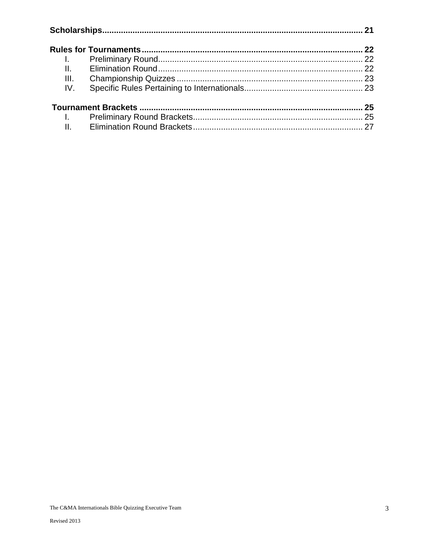| $\mathbf{L}$ |  |  |
|--------------|--|--|
| II.          |  |  |
| III.         |  |  |
| IV.          |  |  |
|              |  |  |
| $\mathbf{L}$ |  |  |
| II.          |  |  |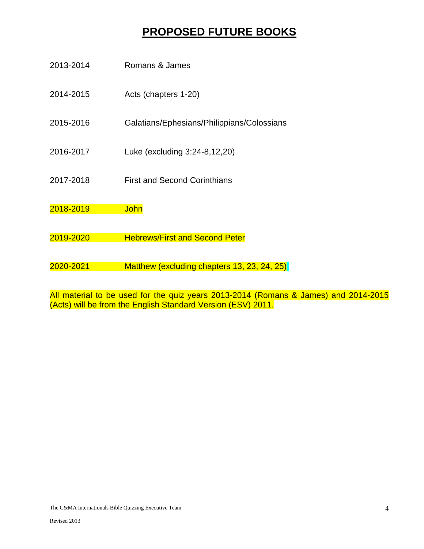# **PROPOSED FUTURE BOOKS**

| 2013-2014 | Romans & James                              |
|-----------|---------------------------------------------|
| 2014-2015 | Acts (chapters 1-20)                        |
| 2015-2016 | Galatians/Ephesians/Philippians/Colossians  |
| 2016-2017 | Luke (excluding 3:24-8,12,20)               |
| 2017-2018 | <b>First and Second Corinthians</b>         |
| 2018-2019 | <b>John</b>                                 |
|           |                                             |
| 2019-2020 | <b>Hebrews/First and Second Peter</b>       |
|           |                                             |
| 2020-2021 | Matthew (excluding chapters 13, 23, 24, 25) |
|           |                                             |

All material to be used for the quiz years 2013-2014 (Romans & James) and 2014-2015 (Acts) will be from the English Standard Version (ESV) 2011.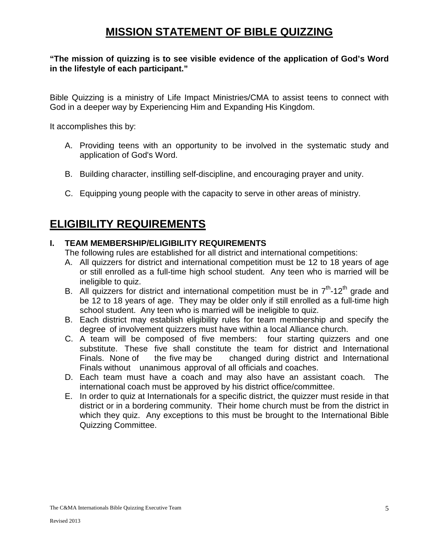## **MISSION STATEMENT OF BIBLE QUIZZING**

#### **"The mission of quizzing is to see visible evidence of the application of God's Word in the lifestyle of each participant."**

Bible Quizzing is a ministry of Life Impact Ministries/CMA to assist teens to connect with God in a deeper way by Experiencing Him and Expanding His Kingdom.

It accomplishes this by:

- A. Providing teens with an opportunity to be involved in the systematic study and application of God's Word.
- B. Building character, instilling self-discipline, and encouraging prayer and unity.
- C. Equipping young people with the capacity to serve in other areas of ministry.

### **ELIGIBILITY REQUIREMENTS**

#### **I. TEAM MEMBERSHIP/ELIGIBILITY REQUIREMENTS**

The following rules are established for all district and international competitions:

- A. All quizzers for district and international competition must be 12 to 18 years of age or still enrolled as a full-time high school student. Any teen who is married will be ineligible to quiz.
- B. All quizzers for district and international competition must be in  $7<sup>th</sup>$ -12<sup>th</sup> grade and be 12 to 18 years of age. They may be older only if still enrolled as a full-time high school student. Any teen who is married will be ineligible to quiz.
- B. Each district may establish eligibility rules for team membership and specify the degree of involvement quizzers must have within a local Alliance church.
- C. A team will be composed of five members: four starting quizzers and one substitute. These five shall constitute the team for district and International Finals. None of the five may be changed during district and International Finals without unanimous approval of all officials and coaches.
- D. Each team must have a coach and may also have an assistant coach. The international coach must be approved by his district office/committee.
- E. In order to quiz at Internationals for a specific district, the quizzer must reside in that district or in a bordering community. Their home church must be from the district in which they quiz. Any exceptions to this must be brought to the International Bible Quizzing Committee.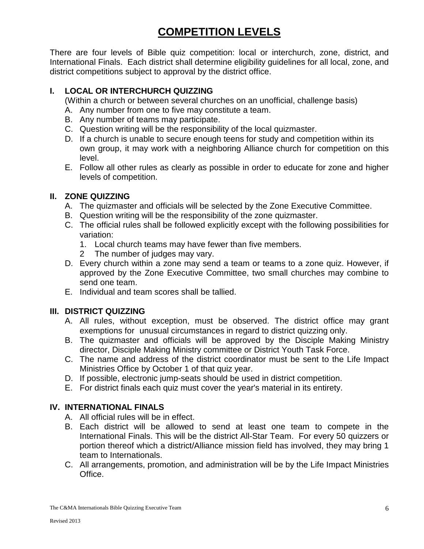# **COMPETITION LEVELS**

There are four levels of Bible quiz competition: local or interchurch, zone, district, and International Finals. Each district shall determine eligibility guidelines for all local, zone, and district competitions subject to approval by the district office.

#### **I. LOCAL OR INTERCHURCH QUIZZING**

(Within a church or between several churches on an unofficial, challenge basis)

- A. Any number from one to five may constitute a team.
- B. Any number of teams may participate.
- C. Question writing will be the responsibility of the local quizmaster.
- D. If a church is unable to secure enough teens for study and competition within its own group, it may work with a neighboring Alliance church for competition on this level.
- E. Follow all other rules as clearly as possible in order to educate for zone and higher levels of competition.

#### **II. ZONE QUIZZING**

- A. The quizmaster and officials will be selected by the Zone Executive Committee.
- B. Question writing will be the responsibility of the zone quizmaster.
- C. The official rules shall be followed explicitly except with the following possibilities for variation:
	- 1. Local church teams may have fewer than five members.
	- 2 The number of judges may vary.
- D. Every church within a zone may send a team or teams to a zone quiz. However, if approved by the Zone Executive Committee, two small churches may combine to send one team.
- E. Individual and team scores shall be tallied.

#### **III. DISTRICT QUIZZING**

- A. All rules, without exception, must be observed. The district office may grant exemptions for unusual circumstances in regard to district quizzing only.
- B. The quizmaster and officials will be approved by the Disciple Making Ministry director, Disciple Making Ministry committee or District Youth Task Force.
- C. The name and address of the district coordinator must be sent to the Life Impact Ministries Office by October 1 of that quiz year.
- D. If possible, electronic jump-seats should be used in district competition.
- E. For district finals each quiz must cover the year's material in its entirety.

#### **IV. INTERNATIONAL FINALS**

- A. All official rules will be in effect.
- B. Each district will be allowed to send at least one team to compete in the International Finals. This will be the district All-Star Team. For every 50 quizzers or portion thereof which a district/Alliance mission field has involved, they may bring 1 team to Internationals.
- C. All arrangements, promotion, and administration will be by the Life Impact Ministries Office.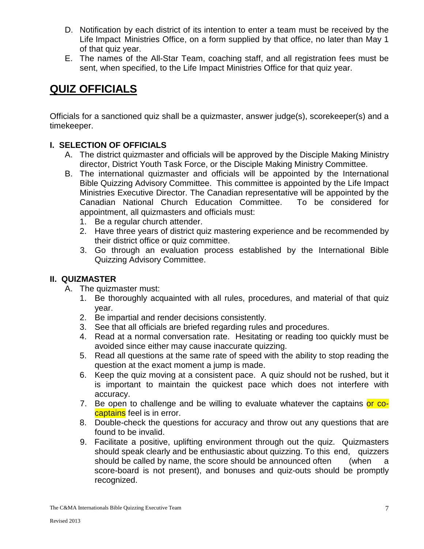- D. Notification by each district of its intention to enter a team must be received by the Life Impact Ministries Office, on a form supplied by that office, no later than May 1 of that quiz year.
- E. The names of the All-Star Team, coaching staff, and all registration fees must be sent, when specified, to the Life Impact Ministries Office for that quiz year.

### **QUIZ OFFICIALS**

Officials for a sanctioned quiz shall be a quizmaster, answer judge(s), scorekeeper(s) and a timekeeper.

#### **I. SELECTION OF OFFICIALS**

- A. The district quizmaster and officials will be approved by the Disciple Making Ministry director, District Youth Task Force, or the Disciple Making Ministry Committee.
- B. The international quizmaster and officials will be appointed by the International Bible Quizzing Advisory Committee. This committee is appointed by the Life Impact Ministries Executive Director. The Canadian representative will be appointed by the Canadian National Church Education Committee. To be considered for appointment, all quizmasters and officials must:
	- 1. Be a regular church attender.
	- 2. Have three years of district quiz mastering experience and be recommended by their district office or quiz committee.
	- 3. Go through an evaluation process established by the International Bible Quizzing Advisory Committee.

#### **II. QUIZMASTER**

- A. The quizmaster must:
	- 1. Be thoroughly acquainted with all rules, procedures, and material of that quiz year.
	- 2. Be impartial and render decisions consistently.
	- 3. See that all officials are briefed regarding rules and procedures.
	- 4. Read at a normal conversation rate. Hesitating or reading too quickly must be avoided since either may cause inaccurate quizzing.
	- 5. Read all questions at the same rate of speed with the ability to stop reading the question at the exact moment a jump is made.
	- 6. Keep the quiz moving at a consistent pace. A quiz should not be rushed, but it is important to maintain the quickest pace which does not interfere with accuracy.
	- 7. Be open to challenge and be willing to evaluate whatever the captains or cocaptains feel is in error.
	- 8. Double-check the questions for accuracy and throw out any questions that are found to be invalid.
	- 9. Facilitate a positive, uplifting environment through out the quiz. Quizmasters should speak clearly and be enthusiastic about quizzing. To this end, quizzers should be called by name, the score should be announced often (when a score-board is not present), and bonuses and quiz-outs should be promptly recognized.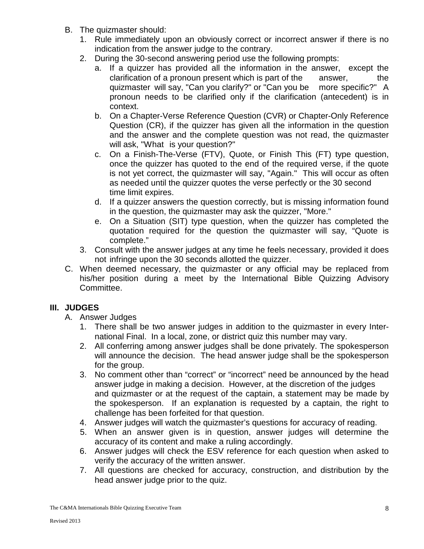- B. The quizmaster should:
	- 1. Rule immediately upon an obviously correct or incorrect answer if there is no indication from the answer judge to the contrary.
	- 2. During the 30-second answering period use the following prompts:
		- a. If a quizzer has provided all the information in the answer, except the clarification of a pronoun present which is part of the answer, the quizmaster will say, "Can you clarify?" or "Can you be more specific?" A pronoun needs to be clarified only if the clarification (antecedent) is in context.
		- b. On a Chapter-Verse Reference Question (CVR) or Chapter-Only Reference Question (CR), if the quizzer has given all the information in the question and the answer and the complete question was not read, the quizmaster will ask, "What is your question?"
		- c. On a Finish-The-Verse (FTV), Quote, or Finish This (FT) type question, once the quizzer has quoted to the end of the required verse, if the quote is not yet correct, the quizmaster will say, "Again." This will occur as often as needed until the quizzer quotes the verse perfectly or the 30 second time limit expires.
		- d. If a quizzer answers the question correctly, but is missing information found in the question, the quizmaster may ask the quizzer, "More."
		- e. On a Situation (SIT) type question, when the quizzer has completed the quotation required for the question the quizmaster will say, "Quote is complete."
	- 3. Consult with the answer judges at any time he feels necessary, provided it does not infringe upon the 30 seconds allotted the quizzer.
- C. When deemed necessary, the quizmaster or any official may be replaced from his/her position during a meet by the International Bible Quizzing Advisory Committee.

#### **III. JUDGES**

- A. Answer Judges
	- 1. There shall be two answer judges in addition to the quizmaster in every International Final. In a local, zone, or district quiz this number may vary.
	- 2. All conferring among answer judges shall be done privately. The spokesperson will announce the decision. The head answer judge shall be the spokesperson for the group.
	- 3. No comment other than "correct" or "incorrect" need be announced by the head answer judge in making a decision. However, at the discretion of the judges and quizmaster or at the request of the captain, a statement may be made by the spokesperson. If an explanation is requested by a captain, the right to challenge has been forfeited for that question.
	- 4. Answer judges will watch the quizmaster's questions for accuracy of reading.
	- 5. When an answer given is in question, answer judges will determine the accuracy of its content and make a ruling accordingly.
	- 6. Answer judges will check the ESV reference for each question when asked to verify the accuracy of the written answer.
	- 7. All questions are checked for accuracy, construction, and distribution by the head answer judge prior to the quiz.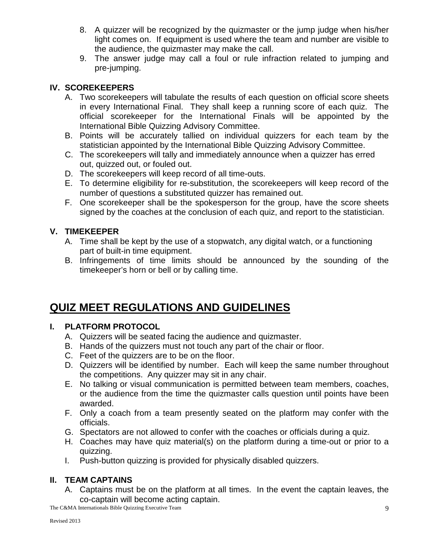- 8. A quizzer will be recognized by the quizmaster or the jump judge when his/her light comes on. If equipment is used where the team and number are visible to the audience, the quizmaster may make the call.
- 9. The answer judge may call a foul or rule infraction related to jumping and pre-jumping.

#### **IV. SCOREKEEPERS**

- A. Two scorekeepers will tabulate the results of each question on official score sheets in every International Final. They shall keep a running score of each quiz. The official scorekeeper for the International Finals will be appointed by the International Bible Quizzing Advisory Committee.
- B. Points will be accurately tallied on individual quizzers for each team by the statistician appointed by the International Bible Quizzing Advisory Committee.
- C. The scorekeepers will tally and immediately announce when a quizzer has erred out, quizzed out, or fouled out.
- D. The scorekeepers will keep record of all time-outs.
- E. To determine eligibility for re-substitution, the scorekeepers will keep record of the number of questions a substituted quizzer has remained out.
- F. One scorekeeper shall be the spokesperson for the group, have the score sheets signed by the coaches at the conclusion of each quiz, and report to the statistician.

#### **V. TIMEKEEPER**

- A. Time shall be kept by the use of a stopwatch, any digital watch, or a functioning part of built-in time equipment.
- B. Infringements of time limits should be announced by the sounding of the timekeeper's horn or bell or by calling time.

# **QUIZ MEET REGULATIONS AND GUIDELINES**

#### **I. PLATFORM PROTOCOL**

- A. Quizzers will be seated facing the audience and quizmaster.
- B. Hands of the quizzers must not touch any part of the chair or floor.
- C. Feet of the quizzers are to be on the floor.
- D. Quizzers will be identified by number. Each will keep the same number throughout the competitions. Any quizzer may sit in any chair.
- E. No talking or visual communication is permitted between team members, coaches, or the audience from the time the quizmaster calls question until points have been awarded.
- F. Only a coach from a team presently seated on the platform may confer with the officials.
- G. Spectators are not allowed to confer with the coaches or officials during a quiz.
- H. Coaches may have quiz material(s) on the platform during a time-out or prior to a quizzing.
- I. Push-button quizzing is provided for physically disabled quizzers.

#### **II. TEAM CAPTAINS**

A. Captains must be on the platform at all times. In the event the captain leaves, the co-captain will become acting captain.

The C&MA Internationals Bible Quizzing Executive Team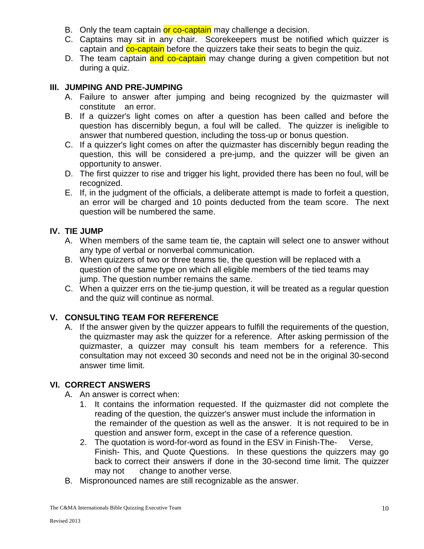- B. Only the team captain or co-captain may challenge a decision.
- C. Captains may sit in any chair. Scorekeepers must be notified which quizzer is captain and co-captain before the quizzers take their seats to begin the quiz.
- D. The team captain and co-captain may change during a given competition but not during a quiz.

#### **III. JUMPING AND PRE-JUMPING**

- A. Failure to answer after jumping and being recognized by the quizmaster will constitute an error.
- B. If a quizzer's light comes on after a question has been called and before the question has discernibly begun, a foul will be called. The quizzer is ineligible to answer that numbered question, including the toss-up or bonus question.
- C. If a quizzer's light comes on after the quizmaster has discernibly begun reading the question, this will be considered a pre-jump, and the quizzer will be given an opportunity to answer.
- D. The first quizzer to rise and trigger his light, provided there has been no foul, will be recognized.
- E. If, in the judgment of the officials, a deliberate attempt is made to forfeit a question, an error will be charged and 10 points deducted from the team score. The next question will be numbered the same.

#### **IV. TIE JUMP**

- A. When members of the same team tie, the captain will select one to answer without any type of verbal or nonverbal communication.
- B. When quizzers of two or three teams tie, the question will be replaced with a question of the same type on which all eligible members of the tied teams may jump. The question number remains the same.
- C. When a quizzer errs on the tie-jump question, it will be treated as a regular question and the quiz will continue as normal.

#### **V. CONSULTING TEAM FOR REFERENCE**

A. If the answer given by the quizzer appears to fulfill the requirements of the question, the quizmaster may ask the quizzer for a reference. After asking permission of the quizmaster, a quizzer may consult his team members for a reference. This consultation may not exceed 30 seconds and need not be in the original 30-second answer time limit.

#### **VI. CORRECT ANSWERS**

- A. An answer is correct when:
	- 1. It contains the information requested. If the quizmaster did not complete the reading of the question, the quizzer's answer must include the information in the remainder of the question as well as the answer. It is not required to be in question and answer form, except in the case of a reference question.
	- 2. The quotation is word-for-word as found in the ESV in Finish-The- Verse, Finish- This, and Quote Questions. In these questions the quizzers may go back to correct their answers if done in the 30-second time limit. The quizzer may not change to another verse.
- B. Mispronounced names are still recognizable as the answer.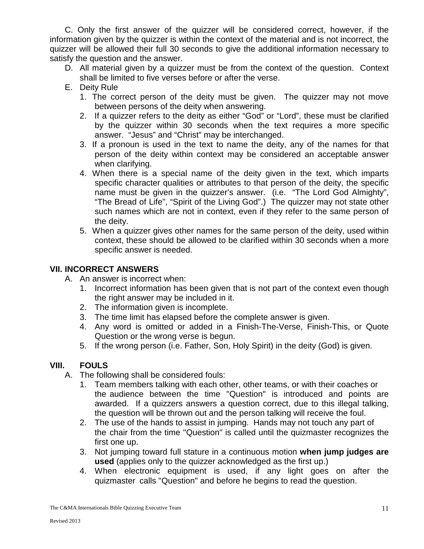C. Only the first answer of the quizzer will be considered correct, however, if the information given by the quizzer is within the context of the material and is not incorrect, the quizzer will be allowed their full 30 seconds to give the additional information necessary to satisfy the question and the answer.

- D. All material given by a quizzer must be from the context of the question. Context shall be limited to five verses before or after the verse.
- E. Deity Rule
	- 1. The correct person of the deity must be given. The quizzer may not move between persons of the deity when answering.
	- 2. If a quizzer refers to the deity as either "God" or "Lord", these must be clarified by the quizzer within 30 seconds when the text requires a more specific answer. "Jesus" and "Christ" may be interchanged.
	- 3. If a pronoun is used in the text to name the deity, any of the names for that person of the deity within context may be considered an acceptable answer when clarifying.
	- 4. When there is a special name of the deity given in the text, which imparts specific character qualities or attributes to that person of the deity, the specific name must be given in the quizzer's answer. (i.e. "The Lord God Almighty", "The Bread of Life", "Spirit of the Living God".) The quizzer may not state other such names which are not in context, even if they refer to the same person of the deity.
	- 5. When a quizzer gives other names for the same person of the deity, used within context, these should be allowed to be clarified within 30 seconds when a more specific answer is needed.

#### **VII. INCORRECT ANSWERS**

- A. An answer is incorrect when:
	- 1. Incorrect information has been given that is not part of the context even though the right answer may be included in it.
	- 2. The information given is incomplete.
	- 3. The time limit has elapsed before the complete answer is given.
	- 4. Any word is omitted or added in a Finish-The-Verse, Finish-This, or Quote Question or the wrong verse is begun.
	- 5. If the wrong person (i.e. Father, Son, Holy Spirit) in the deity (God) is given.

#### **VIII. FOULS**

- A. The following shall be considered fouls:
	- 1. Team members talking with each other, other teams, or with their coaches or the audience between the time "Question" is introduced and points are awarded. If a quizzers answers a question correct, due to this illegal talking, the question will be thrown out and the person talking will receive the foul.
	- 2. The use of the hands to assist in jumping. Hands may not touch any part of the chair from the time "Question" is called until the quizmaster recognizes the first one up.
	- 3. Not jumping toward full stature in a continuous motion **when jump judges are used** (applies only to the quizzer acknowledged as the first up.)
	- 4. When electronic equipment is used, if any light goes on after the quizmaster calls "Question" and before he begins to read the question.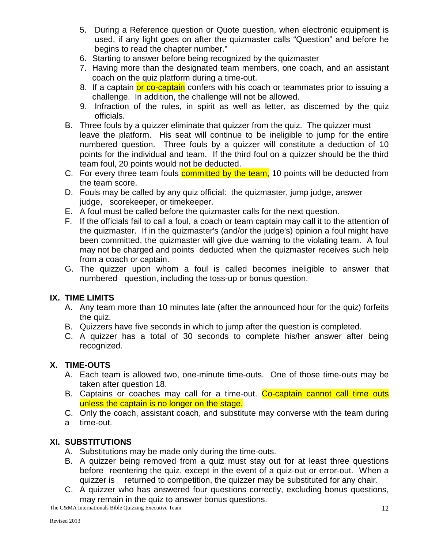- 5. During a Reference question or Quote question, when electronic equipment is used, if any light goes on after the quizmaster calls "Question" and before he begins to read the chapter number."
- 6. Starting to answer before being recognized by the quizmaster
- 7. Having more than the designated team members, one coach, and an assistant coach on the quiz platform during a time-out.
- 8. If a captain or co-captain confers with his coach or teammates prior to issuing a challenge. In addition, the challenge will not be allowed.
- 9. Infraction of the rules, in spirit as well as letter, as discerned by the quiz officials.
- B. Three fouls by a quizzer eliminate that quizzer from the quiz. The quizzer must leave the platform. His seat will continue to be ineligible to jump for the entire numbered question. Three fouls by a quizzer will constitute a deduction of 10 points for the individual and team. If the third foul on a quizzer should be the third team foul, 20 points would not be deducted.
- C. For every three team fouls committed by the team, 10 points will be deducted from the team score.
- D. Fouls may be called by any quiz official: the quizmaster, jump judge, answer judge, scorekeeper, or timekeeper.
- E. A foul must be called before the quizmaster calls for the next question.
- F. If the officials fail to call a foul, a coach or team captain may call it to the attention of the quizmaster. If in the quizmaster's (and/or the judge's) opinion a foul might have been committed, the quizmaster will give due warning to the violating team. A foul may not be charged and points deducted when the quizmaster receives such help from a coach or captain.
- G. The quizzer upon whom a foul is called becomes ineligible to answer that numbered question, including the toss-up or bonus question.

#### **IX. TIME LIMITS**

- A. Any team more than 10 minutes late (after the announced hour for the quiz) forfeits the quiz.
- B. Quizzers have five seconds in which to jump after the question is completed.
- C. A quizzer has a total of 30 seconds to complete his/her answer after being recognized.

#### **X. TIME-OUTS**

- A. Each team is allowed two, one-minute time-outs. One of those time-outs may be taken after question 18.
- B. Captains or coaches may call for a time-out. Co-captain cannot call time outs unless the captain is no longer on the stage.
- C. Only the coach, assistant coach, and substitute may converse with the team during a time-out.

#### **XI. SUBSTITUTIONS**

- A. Substitutions may be made only during the time-outs.
- B. A quizzer being removed from a quiz must stay out for at least three questions before reentering the quiz, except in the event of a quiz-out or error-out. When a quizzer is returned to competition, the quizzer may be substituted for any chair.
- C. A quizzer who has answered four questions correctly, excluding bonus questions, may remain in the quiz to answer bonus questions.

The C&MA Internationals Bible Quizzing Executive Team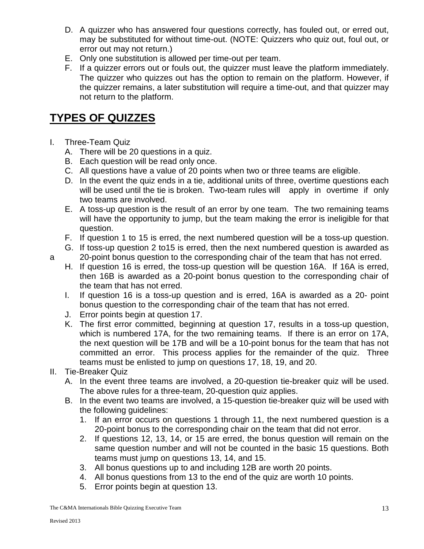- D. A quizzer who has answered four questions correctly, has fouled out, or erred out, may be substituted for without time-out. (NOTE: Quizzers who quiz out, foul out, or error out may not return.)
- E. Only one substitution is allowed per time-out per team.
- F. If a quizzer errors out or fouls out, the quizzer must leave the platform immediately. The quizzer who quizzes out has the option to remain on the platform. However, if the quizzer remains, a later substitution will require a time-out, and that quizzer may not return to the platform.

### **TYPES OF QUIZZES**

- I. Three-Team Quiz
	- A. There will be 20 questions in a quiz.
	- B. Each question will be read only once.
	- C. All questions have a value of 20 points when two or three teams are eligible.
	- D. In the event the quiz ends in a tie, additional units of three, overtime questions each will be used until the tie is broken. Two-team rules will apply in overtime if only two teams are involved.
	- E. A toss-up question is the result of an error by one team. The two remaining teams will have the opportunity to jump, but the team making the error is ineligible for that question.
	- F. If question 1 to 15 is erred, the next numbered question will be a toss-up question.
- G. If toss-up question 2 to15 is erred, then the next numbered question is awarded as a 20-point bonus question to the corresponding chair of the team that has not erred.
	- H. If question 16 is erred, the toss-up question will be question 16A. If 16A is erred, then 16B is awarded as a 20-point bonus question to the corresponding chair of the team that has not erred.
	- I. If question 16 is a toss-up question and is erred, 16A is awarded as a 20- point bonus question to the corresponding chair of the team that has not erred.
	- J. Error points begin at question 17.
	- K. The first error committed, beginning at question 17, results in a toss-up question, which is numbered 17A, for the two remaining teams. If there is an error on 17A, the next question will be 17B and will be a 10-point bonus for the team that has not committed an error. This process applies for the remainder of the quiz. Three teams must be enlisted to jump on questions 17, 18, 19, and 20.
- II. Tie-Breaker Quiz
	- A. In the event three teams are involved, a 20-question tie-breaker quiz will be used. The above rules for a three-team, 20-question quiz applies.
	- B. In the event two teams are involved, a 15-question tie-breaker quiz will be used with the following guidelines:
		- 1. If an error occurs on questions 1 through 11, the next numbered question is a 20-point bonus to the corresponding chair on the team that did not error.
		- 2. If questions 12, 13, 14, or 15 are erred, the bonus question will remain on the same question number and will not be counted in the basic 15 questions. Both teams must jump on questions 13, 14, and 15.
		- 3. All bonus questions up to and including 12B are worth 20 points.
		- 4. All bonus questions from 13 to the end of the quiz are worth 10 points.
		- 5. Error points begin at question 13.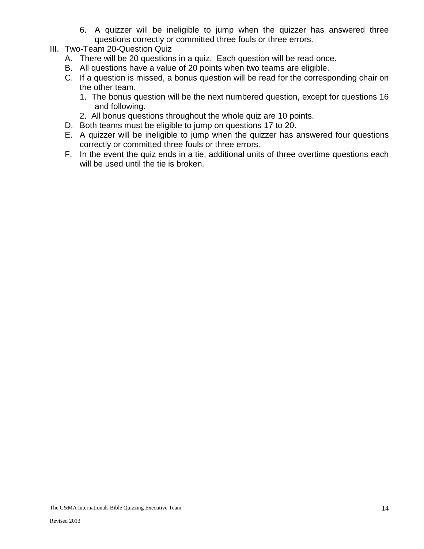- 6. A quizzer will be ineligible to jump when the quizzer has answered three questions correctly or committed three fouls or three errors.
- III. Two-Team 20-Question Quiz
	- A. There will be 20 questions in a quiz. Each question will be read once.
	- B. All questions have a value of 20 points when two teams are eligible.
	- C. If a question is missed, a bonus question will be read for the corresponding chair on the other team.
		- 1. The bonus question will be the next numbered question, except for questions 16 and following.
		- 2. All bonus questions throughout the whole quiz are 10 points.
	- D. Both teams must be eligible to jump on questions 17 to 20.
	- E. A quizzer will be ineligible to jump when the quizzer has answered four questions correctly or committed three fouls or three errors.
	- F. In the event the quiz ends in a tie, additional units of three overtime questions each will be used until the tie is broken.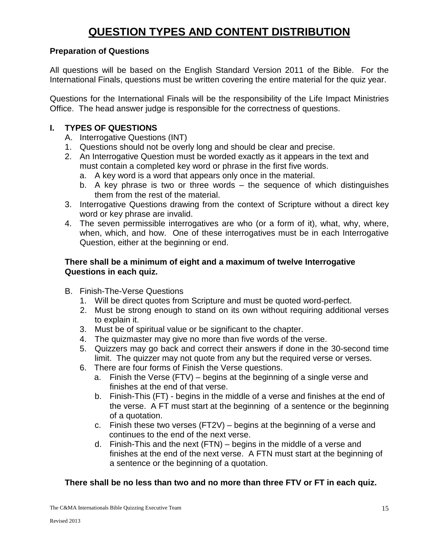# **QUESTION TYPES AND CONTENT DISTRIBUTION**

#### **Preparation of Questions**

All questions will be based on the English Standard Version 2011 of the Bible. For the International Finals, questions must be written covering the entire material for the quiz year.

Questions for the International Finals will be the responsibility of the Life Impact Ministries Office. The head answer judge is responsible for the correctness of questions.

#### **I. TYPES OF QUESTIONS**

- A. Interrogative Questions (INT)
- 1. Questions should not be overly long and should be clear and precise.
- 2. An Interrogative Question must be worded exactly as it appears in the text and must contain a completed key word or phrase in the first five words.
	- a. A key word is a word that appears only once in the material.
	- b. A key phrase is two or three words the sequence of which distinguishes them from the rest of the material.
- 3. Interrogative Questions drawing from the context of Scripture without a direct key word or key phrase are invalid.
- 4. The seven permissible interrogatives are who (or a form of it), what, why, where, when, which, and how. One of these interrogatives must be in each Interrogative Question, either at the beginning or end.

#### **There shall be a minimum of eight and a maximum of twelve Interrogative Questions in each quiz.**

- B. Finish-The-Verse Questions
	- 1. Will be direct quotes from Scripture and must be quoted word-perfect.
	- 2. Must be strong enough to stand on its own without requiring additional verses to explain it.
	- 3. Must be of spiritual value or be significant to the chapter.
	- 4. The quizmaster may give no more than five words of the verse.
	- 5. Quizzers may go back and correct their answers if done in the 30-second time limit. The quizzer may not quote from any but the required verse or verses.
	- 6. There are four forms of Finish the Verse questions.
		- a. Finish the Verse (FTV) begins at the beginning of a single verse and finishes at the end of that verse.
		- b. Finish-This (FT) begins in the middle of a verse and finishes at the end of the verse. A FT must start at the beginning of a sentence or the beginning of a quotation.
		- c. Finish these two verses (FT2V) begins at the beginning of a verse and continues to the end of the next verse.
		- d. Finish-This and the next (FTN) begins in the middle of a verse and finishes at the end of the next verse. A FTN must start at the beginning of a sentence or the beginning of a quotation.

#### **There shall be no less than two and no more than three FTV or FT in each quiz.**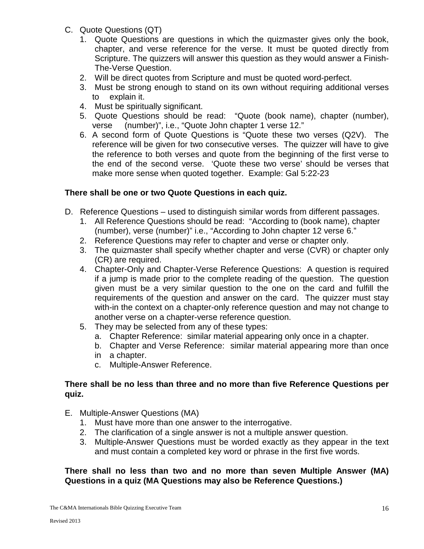- C. Quote Questions (QT)
	- 1. Quote Questions are questions in which the quizmaster gives only the book, chapter, and verse reference for the verse. It must be quoted directly from Scripture. The quizzers will answer this question as they would answer a Finish-The-Verse Question.
	- 2. Will be direct quotes from Scripture and must be quoted word-perfect.
	- 3. Must be strong enough to stand on its own without requiring additional verses to explain it.
	- 4. Must be spiritually significant.
	- 5. Quote Questions should be read: "Quote (book name), chapter (number), verse (number)", i.e., "Quote John chapter 1 verse 12."
	- 6. A second form of Quote Questions is "Quote these two verses (Q2V). The reference will be given for two consecutive verses. The quizzer will have to give the reference to both verses and quote from the beginning of the first verse to the end of the second verse. 'Quote these two verse' should be verses that make more sense when quoted together. Example: Gal 5:22-23

#### **There shall be one or two Quote Questions in each quiz.**

- D. Reference Questions used to distinguish similar words from different passages.
	- 1. All Reference Questions should be read: "According to (book name), chapter (number), verse (number)" i.e., "According to John chapter 12 verse 6."
	- 2. Reference Questions may refer to chapter and verse or chapter only.
	- 3. The quizmaster shall specify whether chapter and verse (CVR) or chapter only (CR) are required.
	- 4. Chapter-Only and Chapter-Verse Reference Questions: A question is required if a jump is made prior to the complete reading of the question. The question given must be a very similar question to the one on the card and fulfill the requirements of the question and answer on the card. The quizzer must stay with-in the context on a chapter-only reference question and may not change to another verse on a chapter-verse reference question.
	- 5. They may be selected from any of these types:
		- a. Chapter Reference: similar material appearing only once in a chapter.
		- b. Chapter and Verse Reference: similar material appearing more than once
		- in a chapter.
		- c. Multiple-Answer Reference.

#### **There shall be no less than three and no more than five Reference Questions per quiz.**

- E. Multiple-Answer Questions (MA)
	- 1. Must have more than one answer to the interrogative.
	- 2. The clarification of a single answer is not a multiple answer question.
	- 3. Multiple-Answer Questions must be worded exactly as they appear in the text and must contain a completed key word or phrase in the first five words.

#### **There shall no less than two and no more than seven Multiple Answer (MA) Questions in a quiz (MA Questions may also be Reference Questions.)**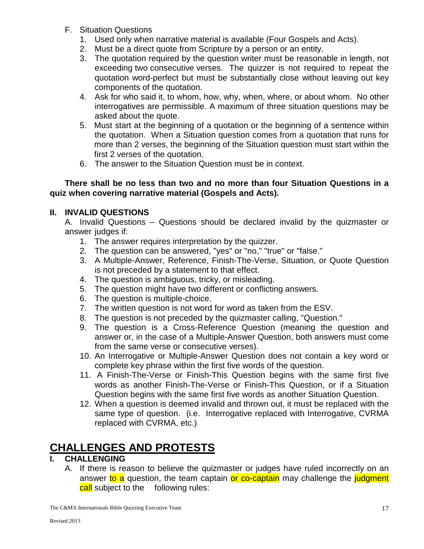- F. Situation Questions
	- 1. Used only when narrative material is available (Four Gospels and Acts).
	- 2. Must be a direct quote from Scripture by a person or an entity.
	- 3. The quotation required by the question writer must be reasonable in length, not exceeding two consecutive verses. The quizzer is not required to repeat the quotation word-perfect but must be substantially close without leaving out key components of the quotation.
	- 4. Ask for who said it, to whom, how, why, when, where, or about whom. No other interrogatives are permissible. A maximum of three situation questions may be asked about the quote.
	- 5. Must start at the beginning of a quotation or the beginning of a sentence within the quotation. When a Situation question comes from a quotation that runs for more than 2 verses, the beginning of the Situation question must start within the first 2 verses of the quotation.
	- 6. The answer to the Situation Question must be in context.

#### **There shall be no less than two and no more than four Situation Questions in a quiz when covering narrative material (Gospels and Acts).**

#### **II. INVALID QUESTIONS**

A. Invalid Questions – Questions should be declared invalid by the quizmaster or answer judges if:

- 1. The answer requires interpretation by the quizzer.
- 2. The question can be answered, "yes" or "no," "true" or "false."
- 3. A Multiple-Answer, Reference, Finish-The-Verse, Situation, or Quote Question is not preceded by a statement to that effect.
- 4. The question is ambiguous, tricky, or misleading.
- 5. The question might have two different or conflicting answers.
- 6. The question is multiple-choice.
- 7. The written question is not word for word as taken from the ESV.
- 8. The question is not preceded by the quizmaster calling, "Question."
- 9. The question is a Cross-Reference Question (meaning the question and answer or, in the case of a Multiple-Answer Question, both answers must come from the same verse or consecutive verses).
- 10. An Interrogative or Multiple-Answer Question does not contain a key word or complete key phrase within the first five words of the question.
- 11. A Finish-The-Verse or Finish-This Question begins with the same first five words as another Finish-The-Verse or Finish-This Question, or if a Situation Question begins with the same first five words as another Situation Question.
- 12. When a question is deemed invalid and thrown out, it must be replaced with the same type of question. (i.e. Interrogative replaced with Interrogative, CVRMA replaced with CVRMA, etc.)

# **CHALLENGES AND PROTESTS**

### **I. CHALLENGING**

A. If there is reason to believe the quizmaster or judges have ruled incorrectly on an answer to a question, the team captain or co-captain may challenge the judgment call subject to the following rules: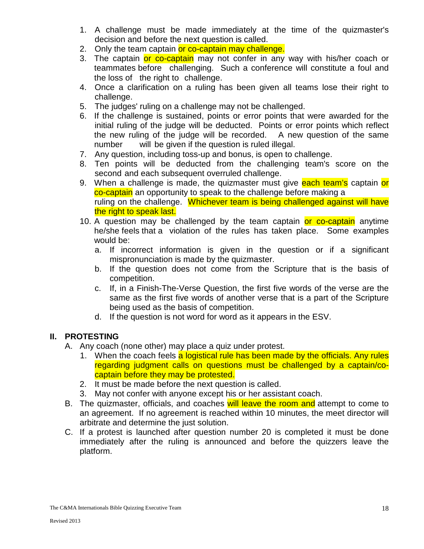- 1. A challenge must be made immediately at the time of the quizmaster's decision and before the next question is called.
- 2. Only the team captain or co-captain may challenge.
- 3. The captain or co-captain may not confer in any way with his/her coach or teammates before challenging. Such a conference will constitute a foul and the loss of the right to challenge.
- 4. Once a clarification on a ruling has been given all teams lose their right to challenge.
- 5. The judges' ruling on a challenge may not be challenged.
- 6. If the challenge is sustained, points or error points that were awarded for the initial ruling of the judge will be deducted. Points or error points which reflect the new ruling of the judge will be recorded. A new question of the same number will be given if the question is ruled illegal.
- 7. Any question, including toss-up and bonus, is open to challenge.
- 8. Ten points will be deducted from the challenging team's score on the second and each subsequent overruled challenge.
- 9. When a challenge is made, the quizmaster must give each team's captain or co-captain an opportunity to speak to the challenge before making a ruling on the challenge. Whichever team is being challenged against will have the right to speak last.
- 10. A question may be challenged by the team captain or co-captain anytime he/she feels that a violation of the rules has taken place. Some examples would be:
	- a. If incorrect information is given in the question or if a significant mispronunciation is made by the quizmaster.
	- b. If the question does not come from the Scripture that is the basis of competition.
	- c. If, in a Finish-The-Verse Question, the first five words of the verse are the same as the first five words of another verse that is a part of the Scripture being used as the basis of competition.
	- d. If the question is not word for word as it appears in the ESV.

#### **II. PROTESTING**

- A. Any coach (none other) may place a quiz under protest.
	- 1. When the coach feels a logistical rule has been made by the officials. Any rules regarding judgment calls on questions must be challenged by a captain/cocaptain before they may be protested.
	- 2. It must be made before the next question is called.
	- 3. May not confer with anyone except his or her assistant coach.
- B. The quizmaster, officials, and coaches will leave the room and attempt to come to an agreement. If no agreement is reached within 10 minutes, the meet director will arbitrate and determine the just solution.
- C. If a protest is launched after question number 20 is completed it must be done immediately after the ruling is announced and before the quizzers leave the platform.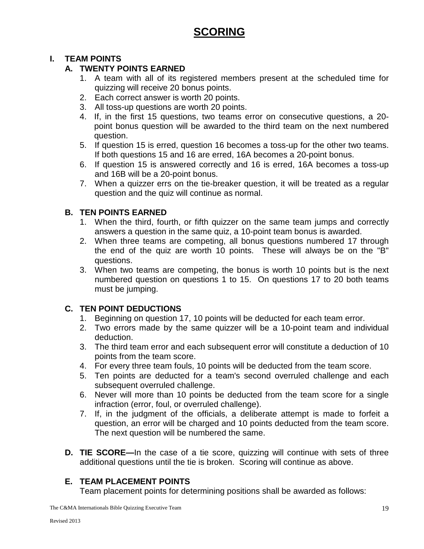# **SCORING**

#### **I. TEAM POINTS**

#### **A. TWENTY POINTS EARNED**

- 1. A team with all of its registered members present at the scheduled time for quizzing will receive 20 bonus points.
- 2. Each correct answer is worth 20 points.
- 3. All toss-up questions are worth 20 points.
- 4. If, in the first 15 questions, two teams error on consecutive questions, a 20 point bonus question will be awarded to the third team on the next numbered question.
- 5. If question 15 is erred, question 16 becomes a toss-up for the other two teams. If both questions 15 and 16 are erred, 16A becomes a 20-point bonus.
- 6. If question 15 is answered correctly and 16 is erred, 16A becomes a toss-up and 16B will be a 20-point bonus.
- 7. When a quizzer errs on the tie-breaker question, it will be treated as a regular question and the quiz will continue as normal.

#### **B. TEN POINTS EARNED**

- 1. When the third, fourth, or fifth quizzer on the same team jumps and correctly answers a question in the same quiz, a 10-point team bonus is awarded.
- 2. When three teams are competing, all bonus questions numbered 17 through the end of the quiz are worth 10 points. These will always be on the "B" questions.
- 3. When two teams are competing, the bonus is worth 10 points but is the next numbered question on questions 1 to 15. On questions 17 to 20 both teams must be jumping.

#### **C. TEN POINT DEDUCTIONS**

- 1. Beginning on question 17, 10 points will be deducted for each team error.
- 2. Two errors made by the same quizzer will be a 10-point team and individual deduction.
- 3. The third team error and each subsequent error will constitute a deduction of 10 points from the team score.
- 4. For every three team fouls, 10 points will be deducted from the team score.
- 5. Ten points are deducted for a team's second overruled challenge and each subsequent overruled challenge.
- 6. Never will more than 10 points be deducted from the team score for a single infraction (error, foul, or overruled challenge).
- 7. If, in the judgment of the officials, a deliberate attempt is made to forfeit a question, an error will be charged and 10 points deducted from the team score. The next question will be numbered the same.
- **D. TIE SCORE—**In the case of a tie score, quizzing will continue with sets of three additional questions until the tie is broken. Scoring will continue as above.

#### **E. TEAM PLACEMENT POINTS**

Team placement points for determining positions shall be awarded as follows: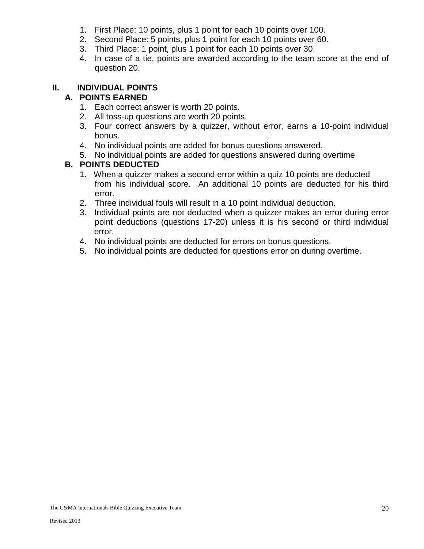- 1. First Place: 10 points, plus 1 point for each 10 points over 100.
- 2. Second Place: 5 points, plus 1 point for each 10 points over 60.
- 3. Third Place: 1 point, plus 1 point for each 10 points over 30.
- 4. In case of a tie, points are awarded according to the team score at the end of question 20.

#### **II. INDIVIDUAL POINTS**

#### **A. POINTS EARNED**

- 1. Each correct answer is worth 20 points.
- 2. All toss-up questions are worth 20 points.
- 3. Four correct answers by a quizzer, without error, earns a 10-point individual bonus.
- 4. No individual points are added for bonus questions answered.
- 5. No individual points are added for questions answered during overtime

#### **B. POINTS DEDUCTED**

- 1. When a quizzer makes a second error within a quiz 10 points are deducted from his individual score. An additional 10 points are deducted for his third error.
- 2. Three individual fouls will result in a 10 point individual deduction.
- 3. Individual points are not deducted when a quizzer makes an error during error point deductions (questions 17-20) unless it is his second or third individual error.
- 4. No individual points are deducted for errors on bonus questions.
- 5. No individual points are deducted for questions error on during overtime.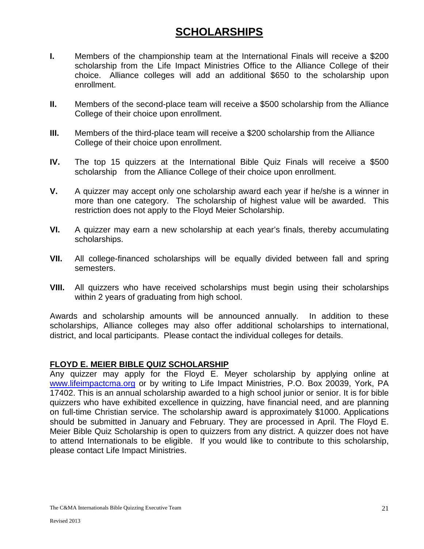### **SCHOLARSHIPS**

- **I.** Members of the championship team at the International Finals will receive a \$200 scholarship from the Life Impact Ministries Office to the Alliance College of their choice. Alliance colleges will add an additional \$650 to the scholarship upon enrollment.
- **II.** Members of the second-place team will receive a \$500 scholarship from the Alliance College of their choice upon enrollment.
- **III.** Members of the third-place team will receive a \$200 scholarship from the Alliance College of their choice upon enrollment.
- **IV.** The top 15 quizzers at the International Bible Quiz Finals will receive a \$500 scholarship from the Alliance College of their choice upon enrollment.
- **V.** A quizzer may accept only one scholarship award each year if he/she is a winner in more than one category. The scholarship of highest value will be awarded. This restriction does not apply to the Floyd Meier Scholarship.
- **VI.** A quizzer may earn a new scholarship at each year's finals, thereby accumulating scholarships.
- **VII.** All college-financed scholarships will be equally divided between fall and spring semesters.
- **VIII.** All quizzers who have received scholarships must begin using their scholarships within 2 years of graduating from high school.

Awards and scholarship amounts will be announced annually. In addition to these scholarships, Alliance colleges may also offer additional scholarships to international, district, and local participants. Please contact the individual colleges for details.

#### **FLOYD E. MEIER BIBLE QUIZ SCHOLARSHIP**

Any quizzer may apply for the Floyd E. Meyer scholarship by applying online at [www.lifeimpactcma.org](http://www.lifeimpactcma.org/) or by writing to Life Impact Ministries, P.O. Box 20039, York, PA 17402. This is an annual scholarship awarded to a high school junior or senior. It is for bible quizzers who have exhibited excellence in quizzing, have financial need, and are planning on full-time Christian service. The scholarship award is approximately \$1000. Applications should be submitted in January and February. They are processed in April. The Floyd E. Meier Bible Quiz Scholarship is open to quizzers from any district. A quizzer does not have to attend Internationals to be eligible. If you would like to contribute to this scholarship, please contact Life Impact Ministries.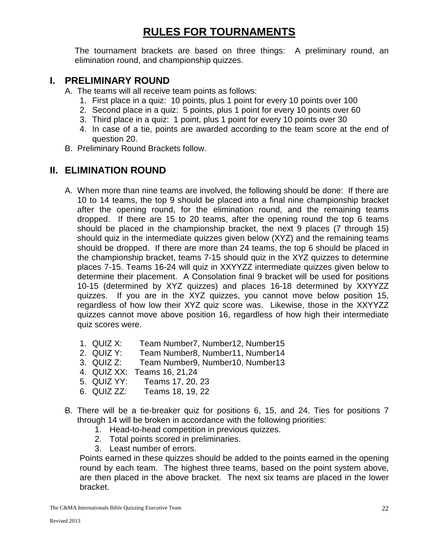# **RULES FOR TOURNAMENTS**

The tournament brackets are based on three things: A preliminary round, an elimination round, and championship quizzes.

#### **I. PRELIMINARY ROUND**

A. The teams will all receive team points as follows:

- 1. First place in a quiz: 10 points, plus 1 point for every 10 points over 100
- 2. Second place in a quiz: 5 points, plus 1 point for every 10 points over 60
- 3. Third place in a quiz: 1 point, plus 1 point for every 10 points over 30
- 4. In case of a tie, points are awarded according to the team score at the end of question 20.
- B. Preliminary Round Brackets follow.

### **II. ELIMINATION ROUND**

- A. When more than nine teams are involved, the following should be done: If there are 10 to 14 teams, the top 9 should be placed into a final nine championship bracket after the opening round, for the elimination round, and the remaining teams dropped. If there are 15 to 20 teams, after the opening round the top 6 teams should be placed in the championship bracket, the next 9 places (7 through 15) should quiz in the intermediate quizzes given below (XYZ) and the remaining teams should be dropped. If there are more than 24 teams, the top 6 should be placed in the championship bracket, teams 7-15 should quiz in the XYZ quizzes to determine places 7-15. Teams 16-24 will quiz in XXYYZZ intermediate quizzes given below to determine their placement. A Consolation final 9 bracket will be used for positions 10-15 (determined by XYZ quizzes) and places 16-18 determined by XXYYZZ quizzes. If you are in the XYZ quizzes, you cannot move below position 15, regardless of how low their XYZ quiz score was. Likewise, those in the XXYYZZ quizzes cannot move above position 16, regardless of how high their intermediate quiz scores were.
	- 1. QUIZ X: Team Number7, Number12, Number15
	- 2. QUIZ Y: Team Number8, Number11, Number14<br>3. QUIZ Z: Team Number9. Number10. Number13
	- Team Number9, Number10, Number13
	- 4. QUIZ XX: Teams 16, 21,24
	- 5. QUIZ YY: Teams 17, 20, 23
	- 6. QUIZ ZZ: Teams 18, 19, 22
- B. There will be a tie-breaker quiz for positions 6, 15, and 24. Ties for positions 7 through 14 will be broken in accordance with the following priorities:
	- 1. Head-to-head competition in previous quizzes.
	- 2. Total points scored in preliminaries.
	- 3. Least number of errors.

Points earned in these quizzes should be added to the points earned in the opening round by each team. The highest three teams, based on the point system above, are then placed in the above bracket. The next six teams are placed in the lower bracket.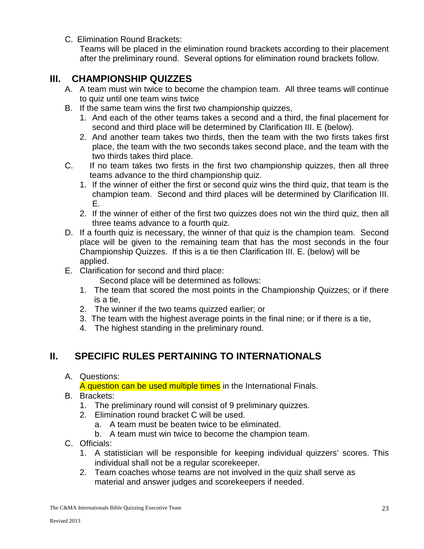C. Elimination Round Brackets:

Teams will be placed in the elimination round brackets according to their placement after the preliminary round. Several options for elimination round brackets follow.

### **III. CHAMPIONSHIP QUIZZES**

- A. A team must win twice to become the champion team. All three teams will continue to quiz until one team wins twice
- B. If the same team wins the first two championship quizzes,
	- 1. And each of the other teams takes a second and a third, the final placement for second and third place will be determined by Clarification III. E (below).
	- 2. And another team takes two thirds, then the team with the two firsts takes first place, the team with the two seconds takes second place, and the team with the two thirds takes third place.
- C. If no team takes two firsts in the first two championship quizzes, then all three teams advance to the third championship quiz.
	- 1. If the winner of either the first or second quiz wins the third quiz, that team is the champion team. Second and third places will be determined by Clarification III. E.
	- 2. If the winner of either of the first two quizzes does not win the third quiz, then all three teams advance to a fourth quiz.
- D. If a fourth quiz is necessary, the winner of that quiz is the champion team. Second place will be given to the remaining team that has the most seconds in the four Championship Quizzes. If this is a tie then Clarification III. E. (below) will be applied.
- E. Clarification for second and third place:

Second place will be determined as follows:

- 1. The team that scored the most points in the Championship Quizzes; or if there is a tie,
- 2. The winner if the two teams quizzed earlier; or
- 3. The team with the highest average points in the final nine; or if there is a tie,
- 4. The highest standing in the preliminary round.

#### **II. SPECIFIC RULES PERTAINING TO INTERNATIONALS**

A. Questions:

A question can be used multiple times in the International Finals.

- B. Brackets:
	- 1. The preliminary round will consist of 9 preliminary quizzes.
	- 2. Elimination round bracket C will be used.
		- a. A team must be beaten twice to be eliminated.
		- b. A team must win twice to become the champion team.
- C. Officials:
	- 1. A statistician will be responsible for keeping individual quizzers' scores. This individual shall not be a regular scorekeeper.
	- 2. Team coaches whose teams are not involved in the quiz shall serve as material and answer judges and scorekeepers if needed.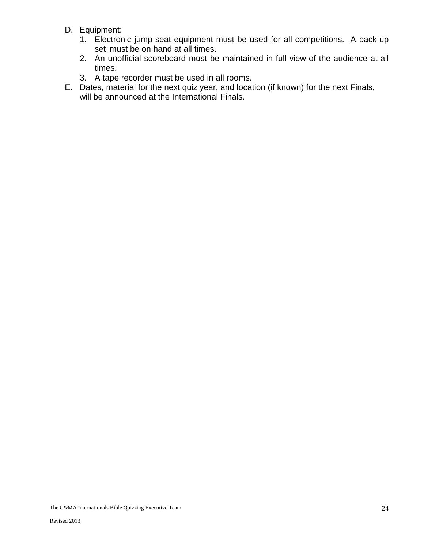- D. Equipment:
	- 1. Electronic jump-seat equipment must be used for all competitions. A back-up set must be on hand at all times.
	- 2. An unofficial scoreboard must be maintained in full view of the audience at all times.
	- 3. A tape recorder must be used in all rooms.
- E. Dates, material for the next quiz year, and location (if known) for the next Finals, will be announced at the International Finals.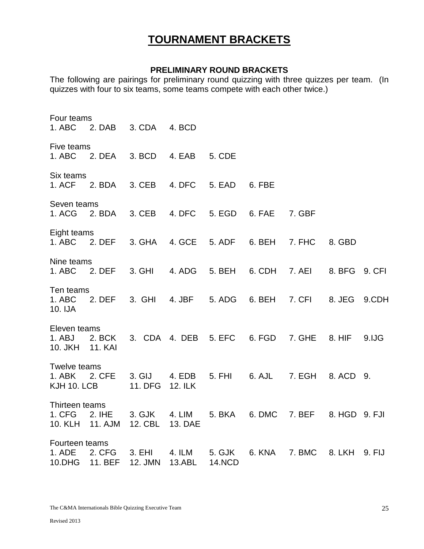### **TOURNAMENT BRACKETS**

#### **PRELIMINARY ROUND BRACKETS**

The following are pairings for preliminary round quizzing with three quizzes per team. (In quizzes with four to six teams, some teams compete with each other twice.)

Four teams 1. ABC 2. DAB 3. CDA 4. BCD Five teams 1. ABC 2. DEA 3. BCD 4. EAB 5. CDE Six teams 1. ACF 2. BDA 3. CEB 4. DFC 5. EAD 6. FBE Seven teams 1. ACG 2. BDA 3. CEB 4. DFC 5. EGD 6. FAE 7. GBF Eight teams 1. ABC 2. DEF 3. GHA 4. GCE 5. ADF 6. BEH 7. FHC 8. GBD Nine teams 1. ABC 2. DEF 3. GHI 4. ADG 5. BEH 6. CDH 7. AEI 8. BFG 9. CFI Ten teams<br>1. ABC 2 1. ABC 2. DEF 3. GHI 4. JBF 5. ADG 6. BEH 7. CFI 8. JEG 9.CDH 10. IJA Eleven teams 1. ABJ 2. BCK 3. CDA 4. DEB 5. EFC 6. FGD 7. GHE 8. HIF 9.IJG 10. JKH 11. KAI Twelve teams 1. ABK 2. CFE 3. GIJ 4. EDB 5. FHI 6. AJL 7. EGH 8. ACD 9. KJH 10. LCB 11. DFG 12. ILK Thirteen teams 1. CFG 2. IHE 3. GJK 4. LIM 5. BKA 6. DMC 7. BEF 8. HGD 9. FJI 10. KLH 11. AJM 12. CBL 13. DAE Fourteen teams 1. ADE 2. CFG 3. EHI 4. ILM 5. GJK 6. KNA 7. BMC 8. LKH 9. FIJ 10.DHG 11. BEF 12. JMN 13.ABL 14.NCD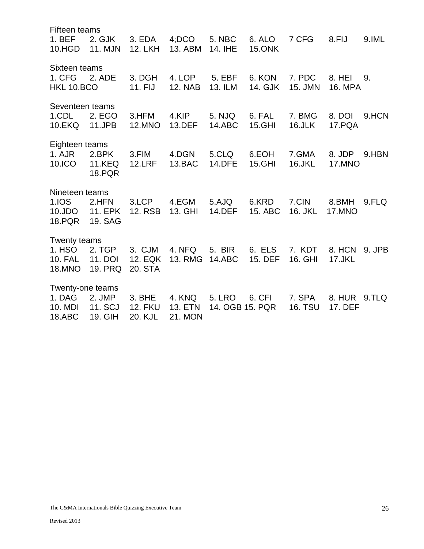Fifteen teams 1. BEF 2. GJK 3. EDA 4;DCO 5. NBC 6. ALO 7 CFG 8.FIJ 9.IML 10.HGD 11. MJN 12. LKH 13. ABM 14. IHE 15.ONK Sixteen teams 1. CFG 2. ADE 3. DGH 4. LOP 5. EBF 6. KON 7. PDC 8. HEI 9. HKL 10.BCO 11. FIJ 12. NAB 13. ILM 14. GJK 15. JMN 16. MPA Seventeen teams 1.CDL 2. EGO 3.HFM 4.KIP 5. NJQ 6. FAL 7. BMG 8. DOI 9.HCN 10.EKQ 11.JPB 12.MNO 13.DEF 14.ABC 15.GHI 16.JLK 17.PQA Eighteen teams 1. AJR 2.BPK 3.FIM 4.DGN 5.CLQ 6.EOH 7.GMA 8. JDP 9.HBN 10.ICO 11.KEQ 12.LRF 13.BAC 14.DFE 15.GHI 16.JKL 17.MNO 18.PQR Nineteen teams 1.IOS 2.HFN 3.LCP 4.EGM 5.AJQ 6.KRD 7.CIN 8.BMH 9.FLQ 10.JDO 11. EPK 12. RSB 13. GHI 14.DEF 15. ABC 16. JKL 17.MNO 18.PQR 19. SAG Twenty teams 1. HSO 2. TGP 3. CJM 4. NFQ 5. BIR 6. ELS 7. KDT 8. HCN 9. JPB 10. FAL 11. DOI 12. EQK 13. RMG 14.ABC 15. DEF 16. GHI 17.JKL 18.MNO 19. PRQ 20. STA Twenty-one teams 1. DAG 2. JMP 3. BHE 4. KNQ 5. LRO 6. CFI 7. SPA 8. HUR 9.TLQ 10. MDI 11. SCJ 12. FKU 13. ETN 14. OGB 15. PQR 16. TSU 17. DEF 18.ABC 19. GIH 20. KJL 21. MON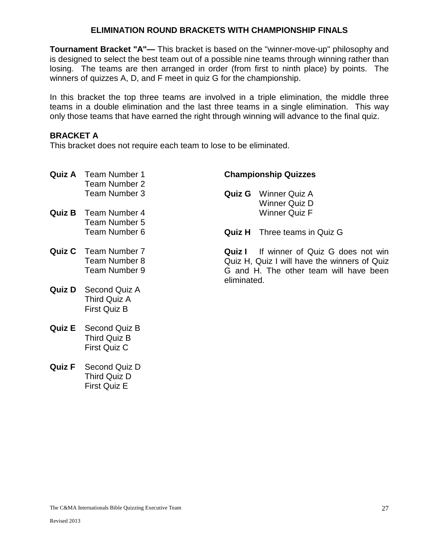#### **ELIMINATION ROUND BRACKETS WITH CHAMPIONSHIP FINALS**

**Tournament Bracket "A"—** This bracket is based on the "winner-move-up" philosophy and is designed to select the best team out of a possible nine teams through winning rather than losing. The teams are then arranged in order (from first to ninth place) by points. The winners of quizzes A, D, and F meet in quiz G for the championship.

In this bracket the top three teams are involved in a triple elimination, the middle three teams in a double elimination and the last three teams in a single elimination. This way only those teams that have earned the right through winning will advance to the final quiz.

#### **BRACKET A**

This bracket does not require each team to lose to be eliminated.

| Quiz A | <b>Team Number 1</b><br>Team Number 2                         | <b>Championship Quizzes</b> |                                                                                                                            |  |
|--------|---------------------------------------------------------------|-----------------------------|----------------------------------------------------------------------------------------------------------------------------|--|
|        | Team Number 3                                                 | Quiz G                      | Winner Quiz A<br><b>Winner Quiz D</b>                                                                                      |  |
| Quiz B | <b>Team Number 4</b><br>Team Number 5                         |                             | <b>Winner Quiz F</b>                                                                                                       |  |
|        | Team Number 6                                                 | Quiz H                      | Three teams in Quiz G                                                                                                      |  |
|        | <b>Quiz C</b> Team Number 7<br>Team Number 8<br>Team Number 9 | Quiz I<br>eliminated.       | If winner of Quiz G does not win<br>Quiz H, Quiz I will have the winners of Quiz<br>G and H. The other team will have been |  |
| Quiz D | Second Quiz A<br>Third Quiz A<br><b>First Quiz B</b>          |                             |                                                                                                                            |  |
| Quiz E | Second Quiz B<br>Third Quiz B<br>First Quiz C                 |                             |                                                                                                                            |  |
| Quiz F | Second Quiz D                                                 |                             |                                                                                                                            |  |

Third Quiz D First Quiz E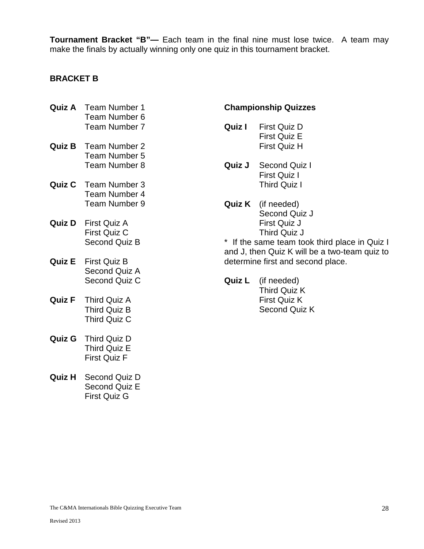**Tournament Bracket "B"—** Each team in the final nine must lose twice. A team may make the finals by actually winning only one quiz in this tournament bracket.

#### **BRACKET B**

- **Quiz A** Team Number 1 Team Number 6 Team Number 7
- **Quiz B** Team Number 2 Team Number 5 Team Number 8
- **Quiz C** Team Number 3 Team Number 4 Team Number 9
- **Quiz D** First Quiz A First Quiz C Second Quiz B
- **Quiz E** First Quiz B Second Quiz A Second Quiz C
- **Quiz F** Third Quiz A Third Quiz B Third Quiz C
- **Quiz G** Third Quiz D Third Quiz E First Quiz F
- **Quiz H** Second Quiz D Second Quiz E First Quiz G

#### **Championship Quizzes**

- **Quiz I** First Quiz D First Quiz E First Quiz H
- **Quiz J** Second Quiz I First Quiz I Third Quiz I
- **Quiz K** (if needed) Second Quiz J First Quiz J Third Quiz J

\* If the same team took third place in Quiz I and J, then Quiz K will be a two-team quiz to determine first and second place.

**Quiz L** (if needed) Third Quiz K First Quiz K Second Quiz K